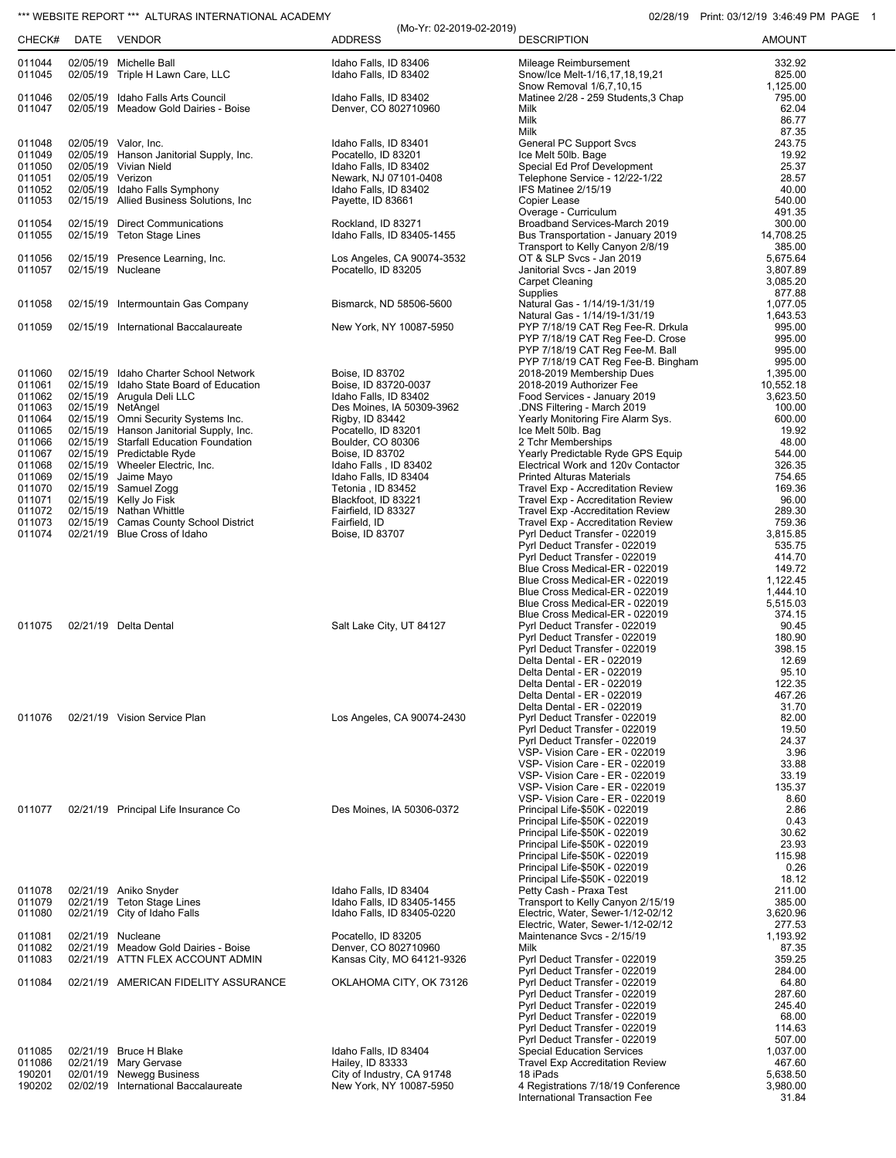## \*\*\* WEBSITE REPORT \*\*\* ALTURAS INTERNATIONAL ACADEMY 02/28/19 Print: 03/12/19 3:46:49 PM PAGE 1

| CHECK#           | DATE             | VENDOR                                                                         | (Mo-Yr: 02-2019-02-2019)<br><b>ADDRESS</b>               | <b>DESCRIPTION</b>                                                      | <b>AMOUNT</b>         |
|------------------|------------------|--------------------------------------------------------------------------------|----------------------------------------------------------|-------------------------------------------------------------------------|-----------------------|
|                  |                  |                                                                                |                                                          |                                                                         |                       |
| 011044<br>011045 |                  | 02/05/19 Michelle Ball<br>02/05/19 Triple H Lawn Care, LLC                     | Idaho Falls, ID 83406<br>Idaho Falls. ID 83402           | Mileage Reimbursement<br>Snow/Ice Melt-1/16,17,18,19,21                 | 332.92<br>825.00      |
| 011046           |                  | 02/05/19 Idaho Falls Arts Council                                              | Idaho Falls, ID 83402                                    | Snow Removal 1/6,7,10,15<br>Matinee 2/28 - 259 Students, 3 Chap         | 1,125.00<br>795.00    |
| 011047           |                  | 02/05/19 Meadow Gold Dairies - Boise                                           | Denver, CO 802710960                                     | Milk<br>Milk                                                            | 62.04<br>86.77        |
|                  |                  |                                                                                |                                                          | Milk                                                                    | 87.35                 |
| 011048<br>011049 |                  | 02/05/19 Valor, Inc.<br>02/05/19 Hanson Janitorial Supply, Inc.                | Idaho Falls, ID 83401<br>Pocatello, ID 83201             | General PC Support Svcs<br>Ice Melt 50lb. Bage                          | 243.75<br>19.92       |
| 011050           |                  | 02/05/19 Vivian Nield                                                          | Idaho Falls, ID 83402                                    | Special Ed Prof Development                                             | 25.37                 |
| 011051<br>011052 | 02/05/19 Verizon |                                                                                | Newark, NJ 07101-0408                                    | Telephone Service - 12/22-1/22<br>IFS Matinee 2/15/19                   | 28.57<br>40.00        |
| 011053           |                  | 02/05/19 Idaho Falls Symphony<br>02/15/19 Allied Business Solutions, Inc.      | Idaho Falls, ID 83402<br>Payette, ID 83661               | Copier Lease                                                            | 540.00                |
| 011054           |                  | 02/15/19 Direct Communications                                                 | Rockland, ID 83271                                       | Overage - Curriculum<br>Broadband Services-March 2019                   | 491.35<br>300.00      |
| 011055           |                  | 02/15/19 Teton Stage Lines                                                     | Idaho Falls, ID 83405-1455                               | Bus Transportation - January 2019                                       | 14,708.25             |
| 011056           |                  | 02/15/19 Presence Learning, Inc.                                               | Los Angeles, CA 90074-3532                               | Transport to Kelly Canyon 2/8/19<br>OT & SLP Svcs - Jan 2019            | 385.00<br>5,675.64    |
| 011057           |                  | 02/15/19 Nucleane                                                              | Pocatello, ID 83205                                      | Janitorial Svcs - Jan 2019                                              | 3,807.89              |
|                  |                  |                                                                                |                                                          | <b>Carpet Cleaning</b><br>Supplies                                      | 3,085.20<br>877.88    |
| 011058           |                  | 02/15/19 Intermountain Gas Company                                             | Bismarck, ND 58506-5600                                  | Natural Gas - 1/14/19-1/31/19                                           | 1,077.05              |
| 011059           |                  | 02/15/19 International Baccalaureate                                           | New York, NY 10087-5950                                  | Natural Gas - 1/14/19-1/31/19<br>PYP 7/18/19 CAT Reg Fee-R. Drkula      | 1,643.53<br>995.00    |
|                  |                  |                                                                                |                                                          | PYP 7/18/19 CAT Reg Fee-D. Crose                                        | 995.00                |
|                  |                  |                                                                                |                                                          | PYP 7/18/19 CAT Reg Fee-M. Ball<br>PYP 7/18/19 CAT Reg Fee-B. Bingham   | 995.00<br>995.00      |
| 011060           |                  | 02/15/19 Idaho Charter School Network                                          | Boise, ID 83702                                          | 2018-2019 Membership Dues                                               | 1,395.00              |
| 011061<br>011062 |                  | 02/15/19 Idaho State Board of Education<br>02/15/19 Arugula Deli LLC           | Boise, ID 83720-0037<br>Idaho Falls, ID 83402            | 2018-2019 Authorizer Fee<br>Food Services - January 2019                | 10,552.18<br>3,623.50 |
| 011063           |                  | 02/15/19 NetAngel                                                              | Des Moines, IA 50309-3962                                | .DNS Filtering - March 2019                                             | 100.00                |
| 011064<br>011065 |                  | 02/15/19 Omni Security Systems Inc.<br>02/15/19 Hanson Janitorial Supply, Inc. | Rigby, ID 83442<br>Pocatello, ID 83201                   | Yearly Monitoring Fire Alarm Sys.<br>Ice Melt 50lb. Bag                 | 600.00<br>19.92       |
| 011066           |                  | 02/15/19 Starfall Education Foundation                                         | Boulder, CO 80306                                        | 2 Tchr Memberships                                                      | 48.00                 |
| 011067<br>011068 |                  | 02/15/19 Predictable Ryde<br>02/15/19 Wheeler Electric, Inc.                   | Boise, ID 83702<br>Idaho Falls, ID 83402                 | Yearly Predictable Ryde GPS Equip<br>Electrical Work and 120v Contactor | 544.00<br>326.35      |
| 011069           |                  | 02/15/19 Jaime Mayo                                                            | Idaho Falls, ID 83404                                    | <b>Printed Alturas Materials</b>                                        | 754.65                |
| 011070<br>011071 |                  | 02/15/19 Samuel Zogg<br>02/15/19 Kelly Jo Fisk                                 | Tetonia, ID 83452<br>Blackfoot, ID 83221                 | Travel Exp - Accreditation Review<br>Travel Exp - Accreditation Review  | 169.36<br>96.00       |
| 011072           |                  | 02/15/19 Nathan Whittle                                                        | Fairfield, ID 83327                                      | Travel Exp - Accreditation Review                                       | 289.30                |
| 011073<br>011074 |                  | 02/15/19 Camas County School District<br>02/21/19 Blue Cross of Idaho          | Fairfield, ID<br>Boise, ID 83707                         | Travel Exp - Accreditation Review<br>Pyrl Deduct Transfer - 022019      | 759.36<br>3,815.85    |
|                  |                  |                                                                                |                                                          | Pyrl Deduct Transfer - 022019                                           | 535.75                |
|                  |                  |                                                                                |                                                          | Pyrl Deduct Transfer - 022019<br>Blue Cross Medical-ER - 022019         | 414.70<br>149.72      |
|                  |                  |                                                                                |                                                          | Blue Cross Medical-ER - 022019                                          | 1,122.45              |
|                  |                  |                                                                                |                                                          | Blue Cross Medical-ER - 022019<br>Blue Cross Medical-ER - 022019        | 1,444.10<br>5,515.03  |
|                  |                  |                                                                                |                                                          | Blue Cross Medical-ER - 022019                                          | 374.15                |
| 011075           |                  | 02/21/19 Delta Dental                                                          | Salt Lake City, UT 84127                                 | Pyrl Deduct Transfer - 022019<br>Pyrl Deduct Transfer - 022019          | 90.45<br>180.90       |
|                  |                  |                                                                                |                                                          | Pyrl Deduct Transfer - 022019                                           | 398.15                |
|                  |                  |                                                                                |                                                          | Delta Dental - ER - 022019<br>Delta Dental - ER - 022019                | 12.69<br>95.10        |
|                  |                  |                                                                                |                                                          | Delta Dental - ER - 022019                                              | 122.35                |
|                  |                  |                                                                                |                                                          | Delta Dental - ER - 022019<br>Delta Dental - ER - 022019                | 467.26<br>31.70       |
| 011076           |                  | 02/21/19 Vision Service Plan                                                   | Los Angeles, CA 90074-2430                               | Pyrl Deduct Transfer - 022019                                           | 82.00                 |
|                  |                  |                                                                                |                                                          | Pyrl Deduct Transfer - 022019<br>Pyrl Deduct Transfer - 022019          | 19.50<br>24.37        |
|                  |                  |                                                                                |                                                          | VSP- Vision Care - ER - 022019                                          | 3.96                  |
|                  |                  |                                                                                |                                                          | VSP- Vision Care - ER - 022019<br>VSP- Vision Care - ER - 022019        | 33.88<br>33.19        |
|                  |                  |                                                                                |                                                          | VSP- Vision Care - ER - 022019                                          | 135.37                |
| 011077           |                  | 02/21/19 Principal Life Insurance Co                                           | Des Moines, IA 50306-0372                                | VSP- Vision Care - ER - 022019<br>Principal Life-\$50K - 022019         | 8.60<br>2.86          |
|                  |                  |                                                                                |                                                          | Principal Life-\$50K - 022019                                           | 0.43                  |
|                  |                  |                                                                                |                                                          | Principal Life-\$50K - 022019<br>Principal Life-\$50K - 022019          | 30.62<br>23.93        |
|                  |                  |                                                                                |                                                          | Principal Life-\$50K - 022019                                           | 115.98                |
|                  |                  |                                                                                |                                                          | Principal Life-\$50K - 022019<br>Principal Life-\$50K - 022019          | 0.26<br>18.12         |
| 011078           |                  | 02/21/19 Aniko Snyder                                                          | Idaho Falls, ID 83404                                    | Petty Cash - Praxa Test                                                 | 211.00                |
| 011079<br>011080 | 02/21/19         | Teton Stage Lines<br>02/21/19 City of Idaho Falls                              | Idaho Falls, ID 83405-1455<br>Idaho Falls, ID 83405-0220 | Transport to Kelly Canyon 2/15/19<br>Electric, Water, Sewer-1/12-02/12  | 385.00<br>3,620.96    |
|                  |                  |                                                                                |                                                          | Electric, Water, Sewer-1/12-02/12                                       | 277.53                |
| 011081<br>011082 | 02/21/19         | 02/21/19 Nucleane<br>Meadow Gold Dairies - Boise                               | Pocatello, ID 83205<br>Denver, CO 802710960              | Maintenance Svcs - 2/15/19<br>Milk                                      | 1,193.92<br>87.35     |
| 011083           |                  | 02/21/19 ATTN FLEX ACCOUNT ADMIN                                               | Kansas City, MO 64121-9326                               | Pyrl Deduct Transfer - 022019                                           | 359.25                |
| 011084           |                  | 02/21/19 AMERICAN FIDELITY ASSURANCE                                           | OKLAHOMA CITY, OK 73126                                  | Pyrl Deduct Transfer - 022019<br>Pyrl Deduct Transfer - 022019          | 284.00<br>64.80       |
|                  |                  |                                                                                |                                                          | Pyrl Deduct Transfer - 022019                                           | 287.60                |
|                  |                  |                                                                                |                                                          | Pyrl Deduct Transfer - 022019<br>Pyrl Deduct Transfer - 022019          | 245.40<br>68.00       |
|                  |                  |                                                                                |                                                          | Pyrl Deduct Transfer - 022019                                           | 114.63                |
| 011085           |                  | 02/21/19 Bruce H Blake                                                         | Idaho Falls, ID 83404                                    | Pyrl Deduct Transfer - 022019<br><b>Special Education Services</b>      | 507.00<br>1,037.00    |
| 011086           |                  | 02/21/19 Mary Gervase                                                          | Hailey, ID 83333                                         | <b>Travel Exp Accreditation Review</b>                                  | 467.60                |
| 190201<br>190202 |                  | 02/01/19 Newegg Business<br>02/02/19 International Baccalaureate               | City of Industry, CA 91748<br>New York, NY 10087-5950    | 18 iPads<br>4 Registrations 7/18/19 Conference                          | 5,638.50<br>3,980.00  |
|                  |                  |                                                                                |                                                          | International Transaction Fee                                           | 31.84                 |